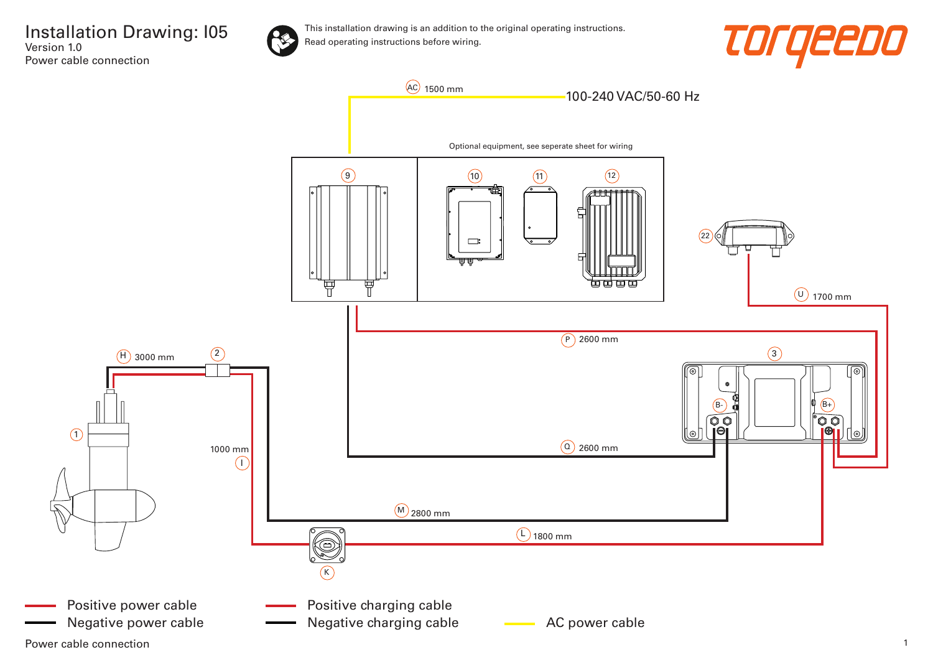



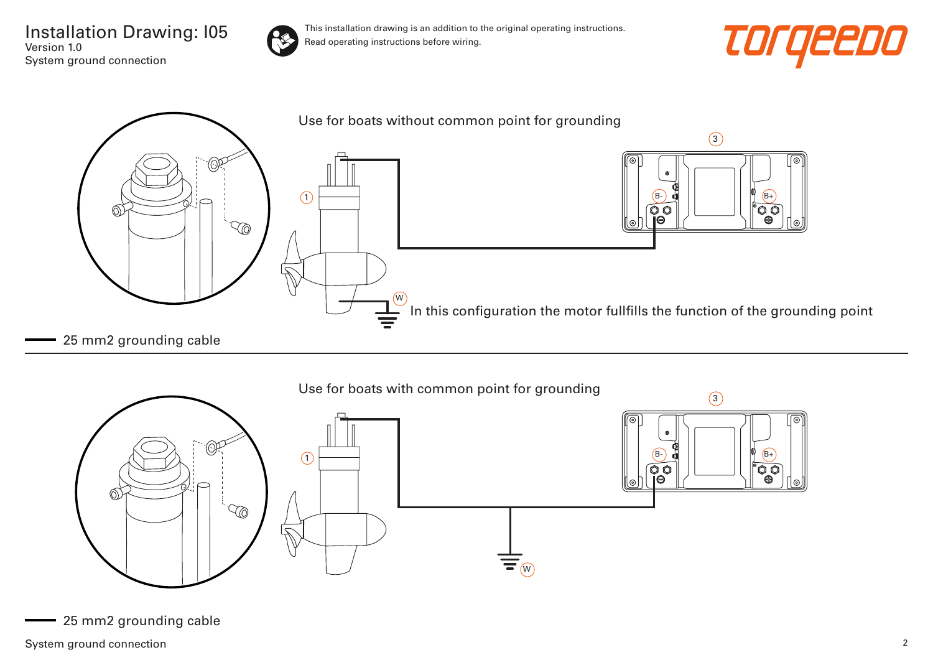Installation Drawing: I05 Version 1.0 System ground connection









<sup>25</sup> mm2 grounding cable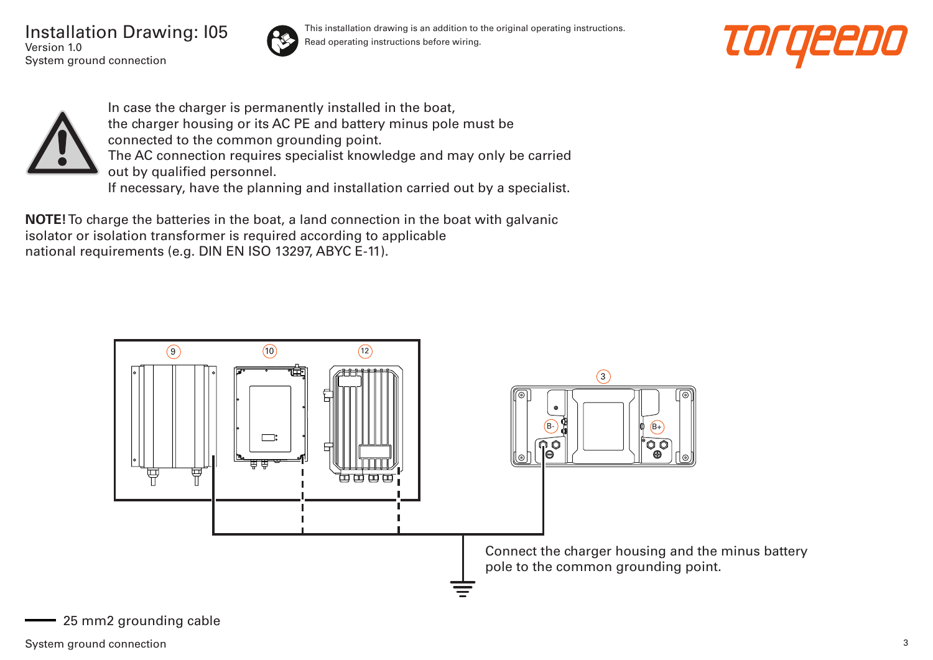Installation Drawing: I05 Version 1.0 System ground connection



This installation drawing is an addition to the original operating instructions. Read operating instructions before wiring.





In case the charger is permanently installed in the boat, the charger housing or its AC PE and battery minus pole must be connected to the common grounding point. The AC connection requires specialist knowledge and may only be carried out by qualified personnel. If necessary, have the planning and installation carried out by a specialist.

**NOTE!** To charge the batteries in the boat, a land connection in the boat with galvanic isolator or isolation transformer is required according to applicable national requirements (e.g. DIN EN ISO 13297, ABYC E-11).



25 mm2 grounding cable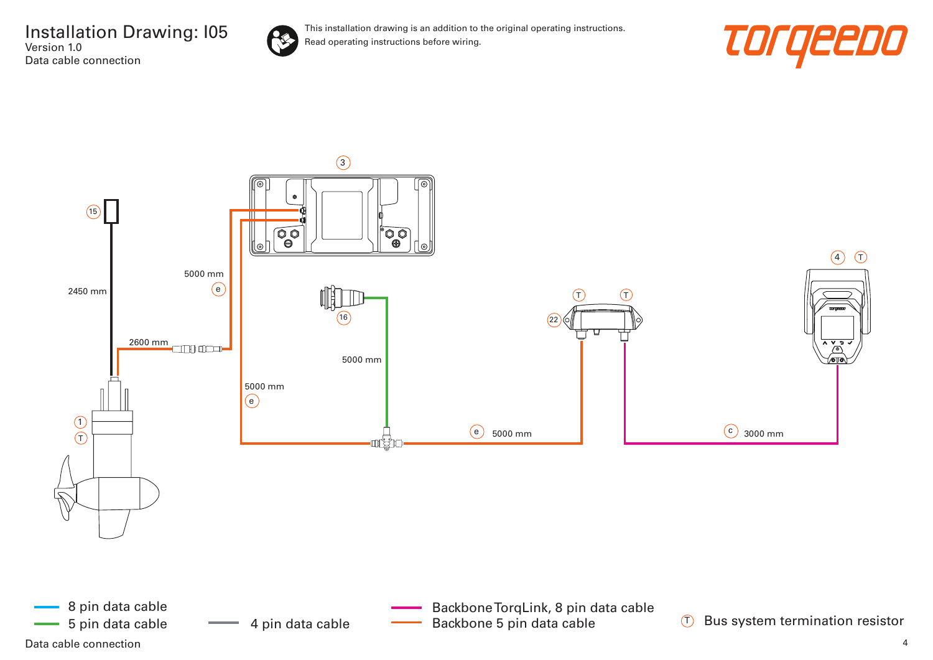



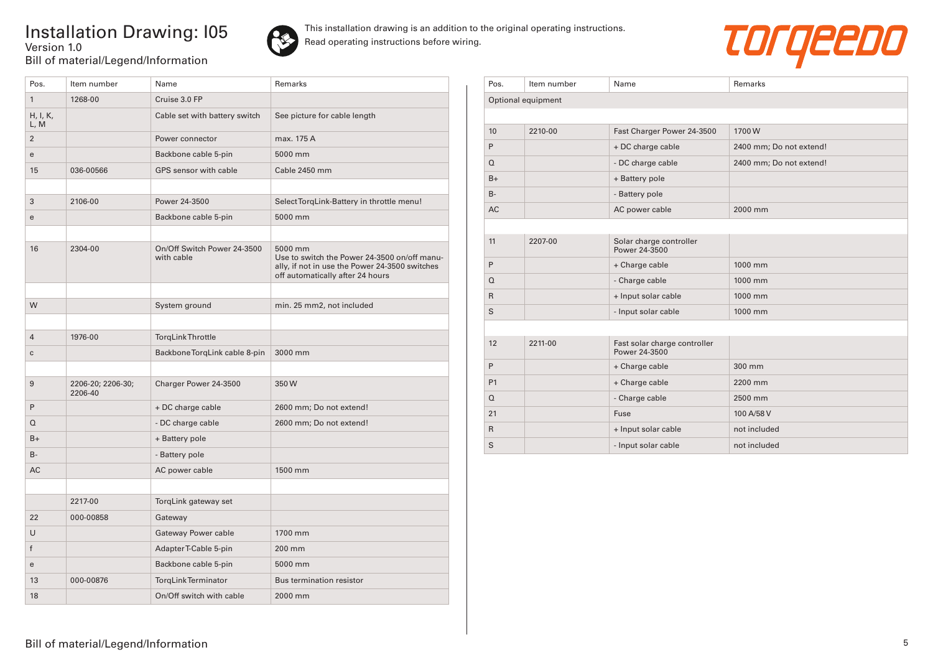## Installation Drawing: I05 Version 1.0 Bill of material/Legend/Information





| Pos.             | Item number                  | Name                                      | <b>Remarks</b>                                                                                                                                |
|------------------|------------------------------|-------------------------------------------|-----------------------------------------------------------------------------------------------------------------------------------------------|
| $\mathbf{1}$     | 1268-00                      | Cruise 3.0 FP                             |                                                                                                                                               |
| H, I, K,<br>L, M |                              | Cable set with battery switch             | See picture for cable length                                                                                                                  |
| $\overline{2}$   |                              | Power connector                           | max. 175 A                                                                                                                                    |
| e                |                              | Backbone cable 5-pin                      | 5000 mm                                                                                                                                       |
| 15               | 036-00566                    | GPS sensor with cable                     | Cable 2450 mm                                                                                                                                 |
|                  |                              |                                           |                                                                                                                                               |
| 3                | 2106-00                      | Power 24-3500                             | Select TorqLink-Battery in throttle menu!                                                                                                     |
| e                |                              | Backbone cable 5-pin                      | 5000 mm                                                                                                                                       |
|                  |                              |                                           |                                                                                                                                               |
| 16               | 2304-00                      | On/Off Switch Power 24-3500<br>with cable | 5000 mm<br>Use to switch the Power 24-3500 on/off manu-<br>ally, if not in use the Power 24-3500 switches<br>off automatically after 24 hours |
|                  |                              |                                           |                                                                                                                                               |
| W                |                              | System ground                             | min. 25 mm2, not included                                                                                                                     |
|                  |                              |                                           |                                                                                                                                               |
| $\overline{4}$   | 1976-00                      | <b>TorgLink Throttle</b>                  |                                                                                                                                               |
| C                |                              | Backbone TorgLink cable 8-pin             | 3000 mm                                                                                                                                       |
|                  |                              |                                           |                                                                                                                                               |
| 9                | 2206-20; 2206-30;<br>2206-40 | Charger Power 24-3500                     | 350W                                                                                                                                          |
| P                |                              | + DC charge cable                         | 2600 mm; Do not extend!                                                                                                                       |
| Q                |                              | - DC charge cable                         | 2600 mm; Do not extend!                                                                                                                       |
| $B+$             |                              | + Battery pole                            |                                                                                                                                               |
| <b>B-</b>        |                              | - Battery pole                            |                                                                                                                                               |
| <b>AC</b>        |                              | AC power cable                            | 1500 mm                                                                                                                                       |
|                  |                              |                                           |                                                                                                                                               |
|                  | 2217-00                      | TorqLink gateway set                      |                                                                                                                                               |
| 22               | 000-00858                    | Gateway                                   |                                                                                                                                               |
| U                |                              | Gateway Power cable                       | 1700 mm                                                                                                                                       |
| f                |                              | Adapter T-Cable 5-pin                     | 200 mm                                                                                                                                        |
| e                |                              | Backbone cable 5-pin                      | 5000 mm                                                                                                                                       |
| 13               | 000-00876                    | TorgLinkTerminator                        | <b>Bus termination resistor</b>                                                                                                               |
| 18               |                              | On/Off switch with cable                  | 2000 mm                                                                                                                                       |

| Pos.               | Item number | Name                                          | Remarks                 |  |  |
|--------------------|-------------|-----------------------------------------------|-------------------------|--|--|
| Optional equipment |             |                                               |                         |  |  |
|                    |             |                                               |                         |  |  |
| 10                 | 2210-00     | Fast Charger Power 24-3500                    | 1700W                   |  |  |
| P                  |             | + DC charge cable                             | 2400 mm; Do not extend! |  |  |
| $\Omega$           |             | - DC charge cable                             | 2400 mm; Do not extend! |  |  |
| $B+$               |             | + Battery pole                                |                         |  |  |
| $B -$              |             | - Battery pole                                |                         |  |  |
| <b>AC</b>          |             | AC power cable                                | 2000 mm                 |  |  |
|                    |             |                                               |                         |  |  |
| 11                 | 2207-00     | Solar charge controller<br>Power 24-3500      |                         |  |  |
| P                  |             | + Charge cable                                | 1000 mm                 |  |  |
| $\Omega$           |             | - Charge cable                                | 1000 mm                 |  |  |
| $\mathsf{R}$       |             | + Input solar cable                           | 1000 mm                 |  |  |
| S                  |             | - Input solar cable                           | 1000 mm                 |  |  |
|                    |             |                                               |                         |  |  |
| 12                 | 2211-00     | Fast solar charge controller<br>Power 24-3500 |                         |  |  |
| P                  |             | + Charge cable                                | 300 mm                  |  |  |
| P <sub>1</sub>     |             | + Charge cable                                | 2200 mm                 |  |  |
| $\Omega$           |             | - Charge cable                                | 2500 mm                 |  |  |
| 21                 |             | Fuse                                          | 100 A/58 V              |  |  |
| $\mathsf{R}$       |             | + Input solar cable                           | not included            |  |  |
| S                  |             | - Input solar cable                           | not included            |  |  |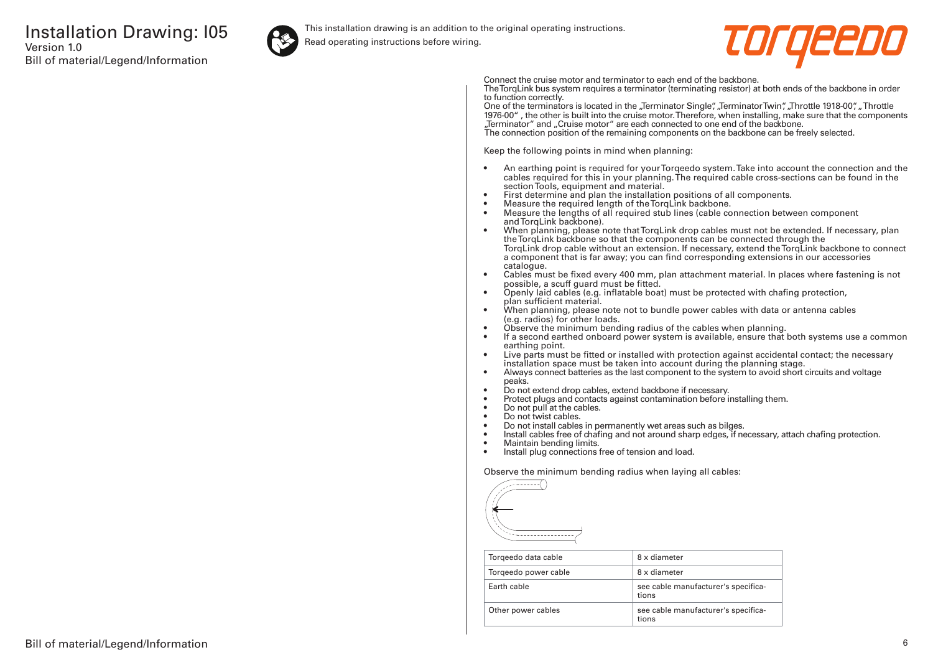

This installation drawing is an addition to the original operating instructions.

Read operating instructions before wiring.



Connect the cruise motor and terminator to each end of the backbone.

The TorqLink bus system requires a terminator (terminating resistor) at both ends of the backbone in order to function correctly.

One of the terminators is located in the "Terminator Single", "Terminator Twin", "Throttle 1918-00", "Throttle 1976-00" , the other is built into the cruise motor. Therefore, when installing, make sure that the components "Terminator" and "Cruise motor" are each connected to one end of the backbone. The connection position of the remaining components on the backbone can be freely selected.

Keep the following points in mind when planning:

- An earthing point is required for your Torqeedo system. Take into account the connection and the cables required for this in your planning. The required cable cross-sections can be found in the section Tools, equipment and material.
- First determine and plan the installation positions of all components.
- Measure the required length of the TorqLink backbone.<br>• Measure the lengths of all required stub lines (cable co
- Measure the lengths of all required stub lines (cable connection between component and TorgLink backbone).
- When planning, please note that TorqLink drop cables must not be extended. If necessary, plan the TorqLink backbone so that the components can be connected through the TorqLink drop cable without an extension. If necessary, extend the TorqLink backbone to connect a component that is far away; you can find corresponding extensions in our accessories catalogue.
- Cables must be fixed every 400 mm, plan attachment material. In places where fastening is not possible, a scuff guard must be fitted.
- Openly laid cables (e.g. inflatable boat) must be protected with chafing protection, plan sufficient material.
- When planning, please note not to bundle power cables with data or antenna cables (e.g. radios) for other loads.
- Observe the minimum bending radius of the cables when planning.
- If a second earthed onboard power system is available, ensure that both systems use a common earthing point.
- Live parts must be fitted or installed with protection against accidental contact; the necessary installation space must be taken into account during the planning stage.
- Always connect batteries as the last component to the system to avoid short circuits and voltage peaks.
- Do not extend drop cables, extend backbone if necessary.
- Protect plugs and contacts against contamination before installing them.
- Do not pull at the cables.
- Do not twist cables.
- Do not install cables in permanently wet areas such as bilges.
- Install cables free of chafing and not around sharp edges, if necessary, attach chafing protection.<br>• Maintain bending limits
- Maintain bending limits.
- Install plug connections free of tension and load.

Observe the minimum bending radius when laying all cables:



| Torgeedo data cable  | 8 x diameter                                 |
|----------------------|----------------------------------------------|
| Torgeedo power cable | 8 x diameter                                 |
| Farth cable          | see cable manufacturer's specifica-<br>tions |
| Other power cables   | see cable manufacturer's specifica-<br>tions |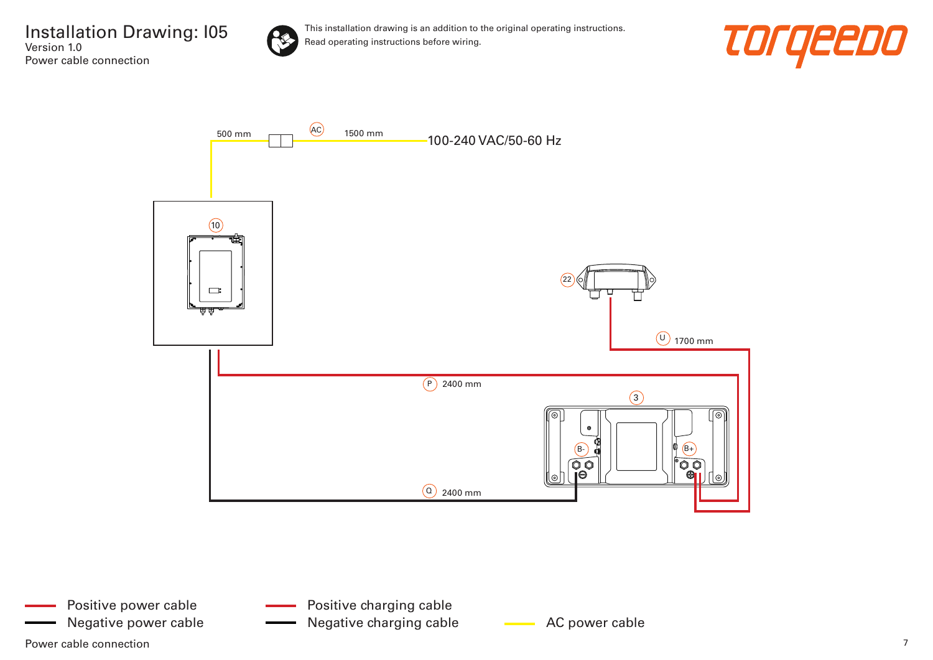

This installation drawing is an addition to the original operating instructions. Read operating instructions before wiring.





Power cable connection  $\overline{7}$ Positive power cable Negative power cable **AC AC power cable** AC power cable Negative charging cable

Positive charging cable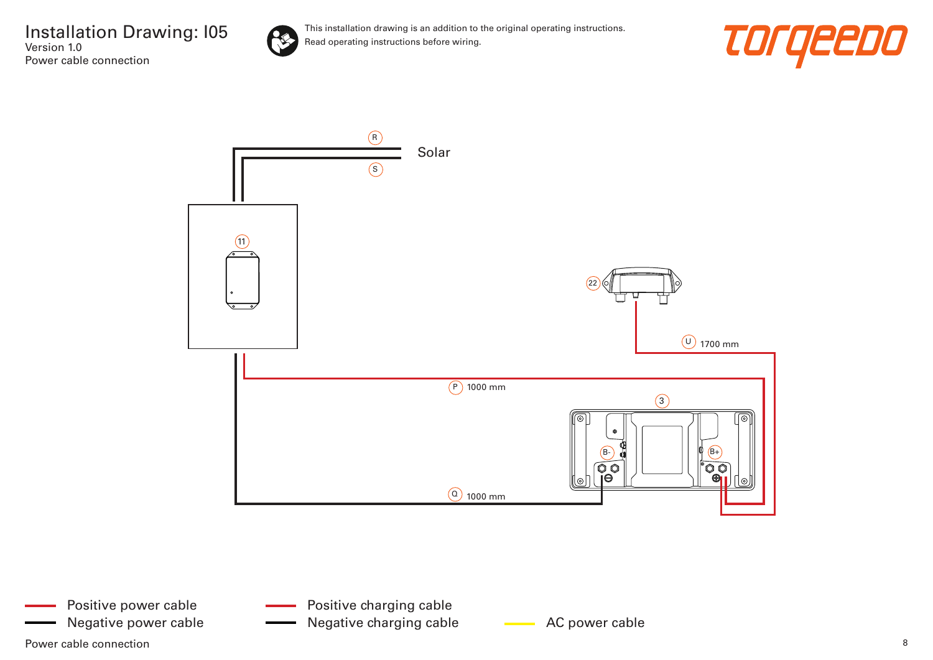

This installation drawing is an addition to the original operating instructions. Read operating instructions before wiring.





Power cable connection and the connection of the set of the set of the set of the set of the set of the set of the set of the set of the set of the set of the set of the set of the set of the set of the set of the set of t Positive power cable

Positive charging cable

Negative power cable **AC AC power cable** Negative charging cable **AC** power cable